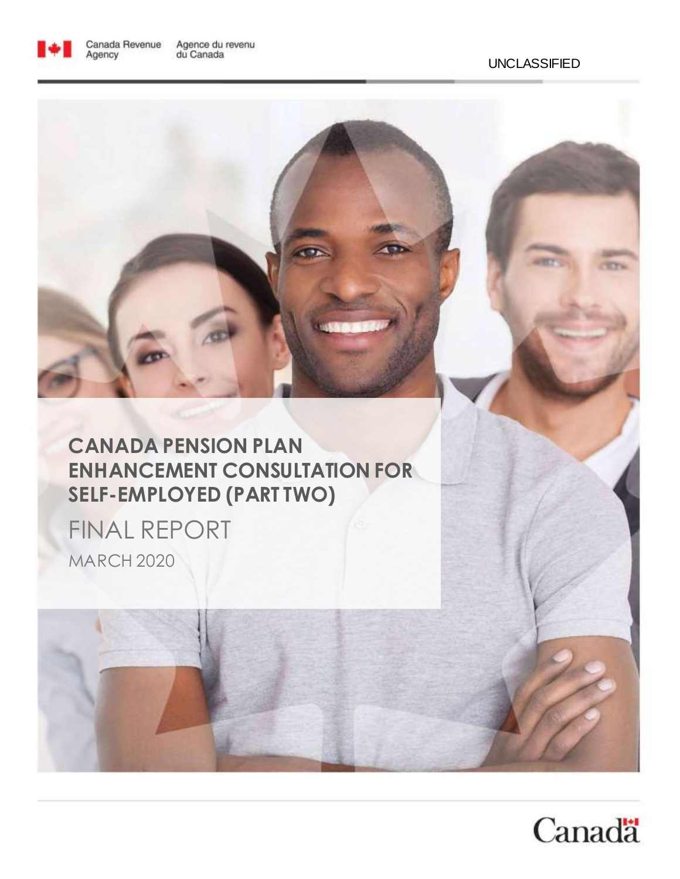

### **CANADA PENSION PLAN ENHANCEMENT CONSULTATION FOR SELF-EMPLOYED (PART TWO)**

FINAL REPORT MARCH 2020

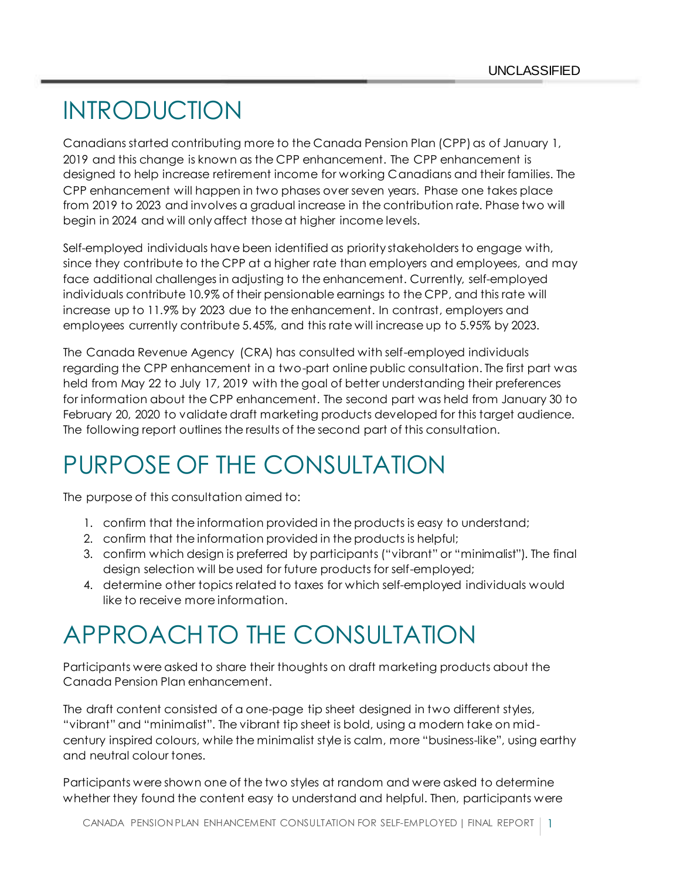# INTRODUCTION

Canadians started contributing more to the Canada Pension Plan (CPP) as of January 1, 2019 and this change is known as the CPP enhancement. The CPP enhancement is designed to help increase retirement income for working Canadians and their families. The CPP enhancement will happen in two phases over seven years. Phase one takes place from 2019 to 2023 and involves a gradual increase in the contribution rate. Phase two will begin in 2024 and will only affect those at higher income levels.

Self-employed individuals have been identified as priority stakeholders to engage with, since they contribute to the CPP at a higher rate than employers and employees, and may face additional challenges in adjusting to the enhancement. Currently, self-employed individuals contribute 10.9% of their pensionable earnings to the CPP, and this rate will increase up to 11.9% by 2023 due to the enhancement. In contrast, employers and employees currently contribute 5.45%, and this rate will increase up to 5.95% by 2023.

The Canada Revenue Agency (CRA) has consulted with self-employed individuals regarding the CPP enhancement in a two-part online public consultation. The first part was held from May 22 to July 17, 2019 with the goal of better understanding their preferences for information about the CPP enhancement. The second part was held from January 30 to February 20, 2020 to validate draft marketing products developed for this target audience. The following report outlines the results of the second part of this consultation.

# PURPOSE OF THE CONSULTATION

The purpose of this consultation aimed to:

- 1. confirm that the information provided in the products is easy to understand;
- 2. confirm that the information provided in the products is helpful;
- 3. confirm which design is preferred by participants ("vibrant" or "minimalist"). The final design selection will be used for future products for self-employed;
- 4. determine other topics related to taxes for which self-employed individuals would like to receive more information.

## APPROACH TO THE CONSULTATION

Participants were asked to share their thoughts on draft marketing products about the Canada Pension Plan enhancement.

The draft content consisted of a one-page tip sheet designed in two different styles, "vibrant" and "minimalist". The vibrant tip sheet is bold, using a modern take on midcentury inspired colours, while the minimalist style is calm, more "business-like", using earthy and neutral colour tones.

Participants were shown one of the two styles at random and were asked to determine whether they found the content easy to understand and helpful. Then, participants were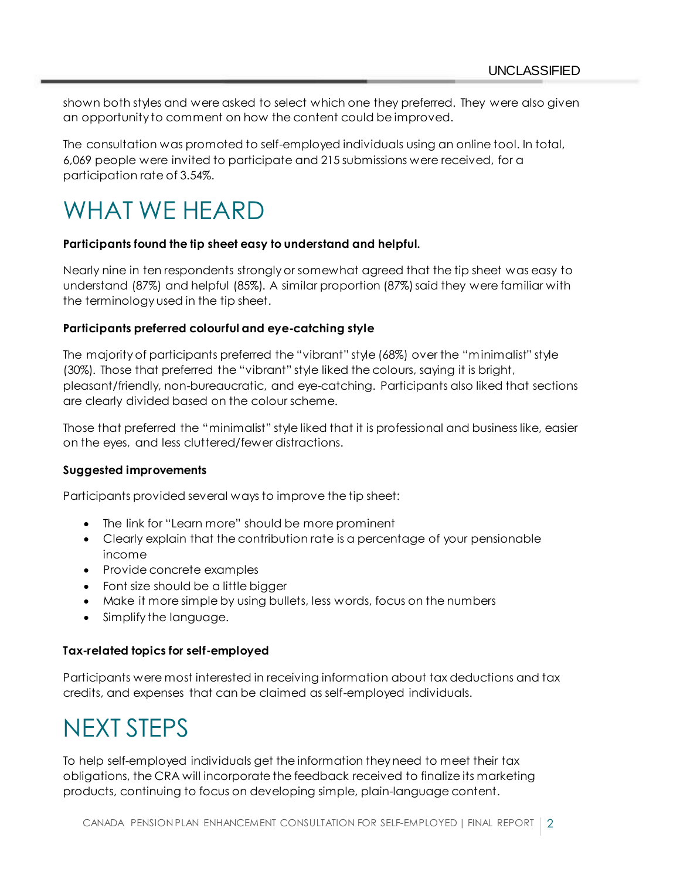shown both styles and were asked to select which one they preferred. They were also given an opportunity to comment on how the content could be improved.

The consultation was promoted to self-employed individuals using an online tool. In total, 6,069 people were invited to participate and 215 submissions were received, for a participation rate of 3.54%.

## WHAT WE HEARD

### **Participants found the tip sheet easy to understand and helpful.**

Nearly nine in ten respondents strongly or somewhat agreed that the tip sheet was easy to understand (87%) and helpful (85%). A similar proportion (87%) said they were familiar with the terminology used in the tip sheet.

### **Participants preferred colourful and eye-catching style**

The majority of participants preferred the "vibrant" style (68%) over the "minimalist" style (30%). Those that preferred the "vibrant" style liked the colours, saying it is bright, pleasant/friendly, non-bureaucratic, and eye-catching. Participants also liked that sections are clearly divided based on the colour scheme.

Those that preferred the "minimalist" style liked that it is professional and business like, easier on the eyes, and less cluttered/fewer distractions.

### **Suggested improvements**

Participants provided several ways to improve the tip sheet:

- The link for "Learn more" should be more prominent
- Clearly explain that the contribution rate is a percentage of your pensionable income
- Provide concrete examples
- Font size should be a little bigger
- Make it more simple by using bullets, less words, focus on the numbers
- Simplify the language.

### **Tax-related topics for self-employed**

Participants were most interested in receiving information about tax deductions and tax credits, and expenses that can be claimed as self-employed individuals.

## NEXT STEPS

To help self-employed individuals get the information they need to meet their tax obligations, the CRA will incorporate the feedback received to finalize its marketing products, continuing to focus on developing simple, plain-language content.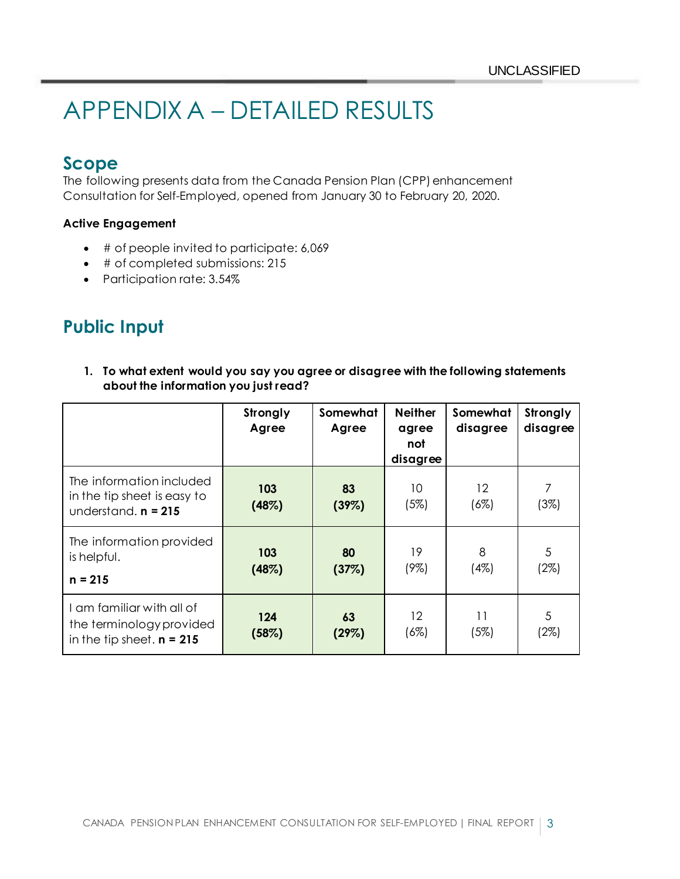# APPENDIX A – DETAILED RESULTS

### **Scope**

The following presents data from the Canada Pension Plan (CPP) enhancement Consultation for Self-Employed, opened from January 30 to February 20, 2020.

### **Active Engagement**

- # of people invited to participate: 6,069
- # of completed submissions: 215
- Participation rate: 3.54%

### **Public Input**

**1. To what extent would you say you agree or disagree with the following statements about the information you just read?** 

|                                                                                      | Strongly<br>Agree | Somewhat<br>Agree | <b>Neither</b><br>agree<br>not<br>disagree | Somewhat<br>disagree | Strongly<br>disagree |
|--------------------------------------------------------------------------------------|-------------------|-------------------|--------------------------------------------|----------------------|----------------------|
| The information included<br>in the tip sheet is easy to<br>understand. $n = 215$     | 103<br>(48%)      | 83<br>(39%)       | 10<br>(5%)                                 | 12<br>(6%)           | (3%)                 |
| The information provided<br>is helpful.<br>$n = 215$                                 | 103<br>(48%)      | 80<br>(37%)       | 19<br>(9%)                                 | 8<br>(4%)            | 5<br>(2%)            |
| I am familiar with all of<br>the terminology provided<br>in the tip sheet. $n = 215$ | 124<br>(58%)      | 63<br>(29%)       | $12 \overline{ }$<br>(6%)                  | 11<br>(5%)           | 5<br>(2%)            |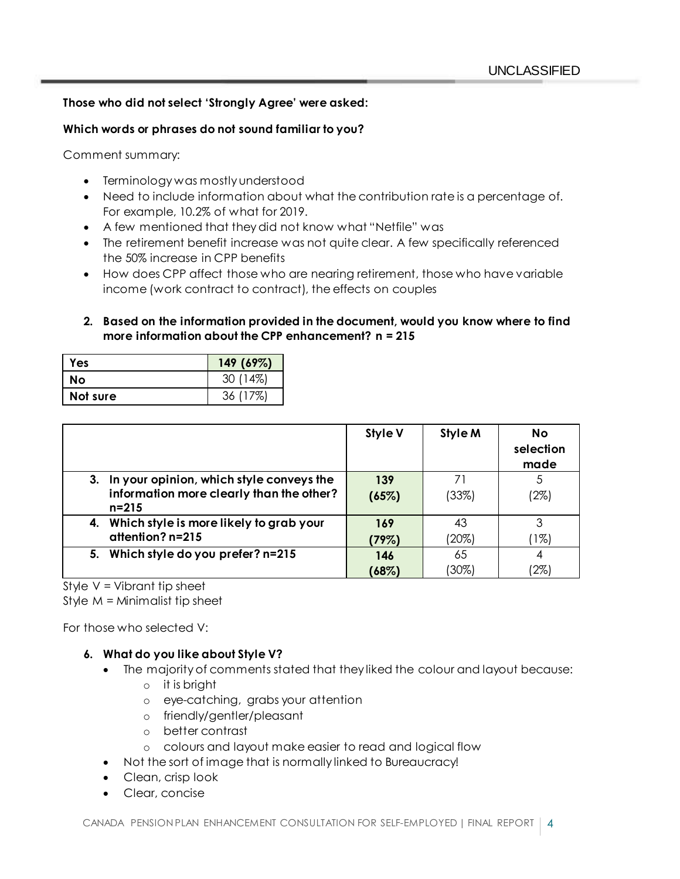### **Those who did not select 'Strongly Agree' were asked:**

### **Which words or phrases do not sound familiar to you?**

Comment summary:

- Terminology was mostly understood
- Need to include information about what the contribution rate is a percentage of. For example, 10.2% of what for 2019.
- A few mentioned that they did not know what "Netfile" was
- The retirement benefit increase was not quite clear. A few specifically referenced the 50% increase in CPP benefits
- How does CPP affect those who are nearing retirement, those who have variable income (work contract to contract), the effects on couples
- **2. Based on the information provided in the document, would you know where to find more information about the CPP enhancement? n = 215**

| Yes      | 149 (69%) |
|----------|-----------|
| No       | 30 (14%)  |
| Not sure | 36 (17%)  |

|                                                       | <b>Style V</b> | Style M | <b>No</b><br>selection<br>made |
|-------------------------------------------------------|----------------|---------|--------------------------------|
| 3. In your opinion, which style conveys the           | 139            | 71      |                                |
| information more clearly than the other?<br>$n = 215$ | (65%)          | (33%)   | (2%)                           |
| 4. Which style is more likely to grab your            | 169            | 43      |                                |
| attention? n=215                                      | (79%)          | (20%)   | $1\%$                          |
| 5. Which style do you prefer? n=215                   | 146            | 65      |                                |
|                                                       | (68%)          | (30%)   | 2%                             |

Style V = Vibrant tip sheet

Style  $M =$  Minimalist tip sheet

For those who selected V:

### **6. What do you like about Style V?**

- The majority of comments stated that they liked the colour and layout because:
	- o it is bright
	- o eye-catching, grabs your attention
	- o friendly/gentler/pleasant
	- o better contrast
	- o colours and layout make easier to read and logical flow
- Not the sort of image that is normally linked to Bureaucracy!
- Clean, crisp look
- Clear, concise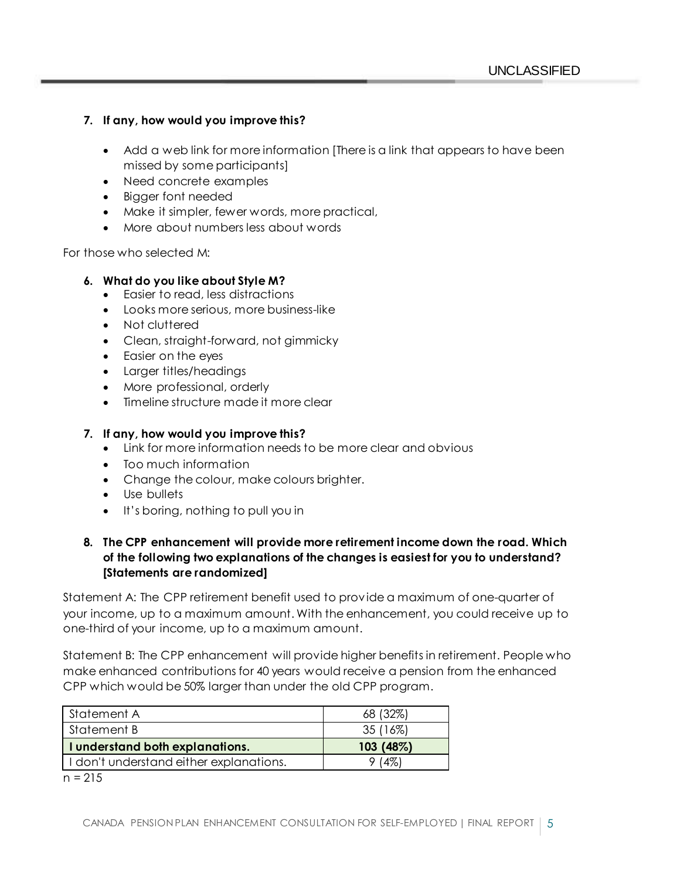### **7. If any, how would you improve this?**

- Add a web link for more information [There is a link that appears to have been missed by some participants]
- Need concrete examples
- Bigger font needed
- Make it simpler, fewer words, more practical,
- More about numbers less about words

For those who selected M:

### **6. What do you like about Style M?**

- Easier to read, less distractions
- Looks more serious, more business-like
- Not cluttered
- Clean, straight-forward, not gimmicky
- Easier on the eyes
- Larger titles/headings
- More professional, orderly
- Timeline structure made it more clear

### **7. If any, how would you improve this?**

- Link for more information needs to be more clear and obvious
- Too much information
- Change the colour, make colours brighter.
- Use bullets
- It's boring, nothing to pull you in

### **8. The CPP enhancement will provide more retirement income down the road. Which of the following two explanations of the changes is easiest for you to understand? [Statements are randomized]**

Statement A: The CPP retirement benefit used to provide a maximum of one-quarter of your income, up to a maximum amount. With the enhancement, you could receive up to one-third of your income, up to a maximum amount.

Statement B: The CPP enhancement will provide higher benefits in retirement. People who make enhanced contributions for 40 years would receive a pension from the enhanced CPP which would be 50% larger than under the old CPP program.

| Statement A                             | 68 (32%)  |
|-----------------------------------------|-----------|
| Statement B                             | 35 (16%)  |
| I understand both explanations.         | 103 (48%) |
| I don't understand either explanations. | 9(4%)     |

 $n = 215$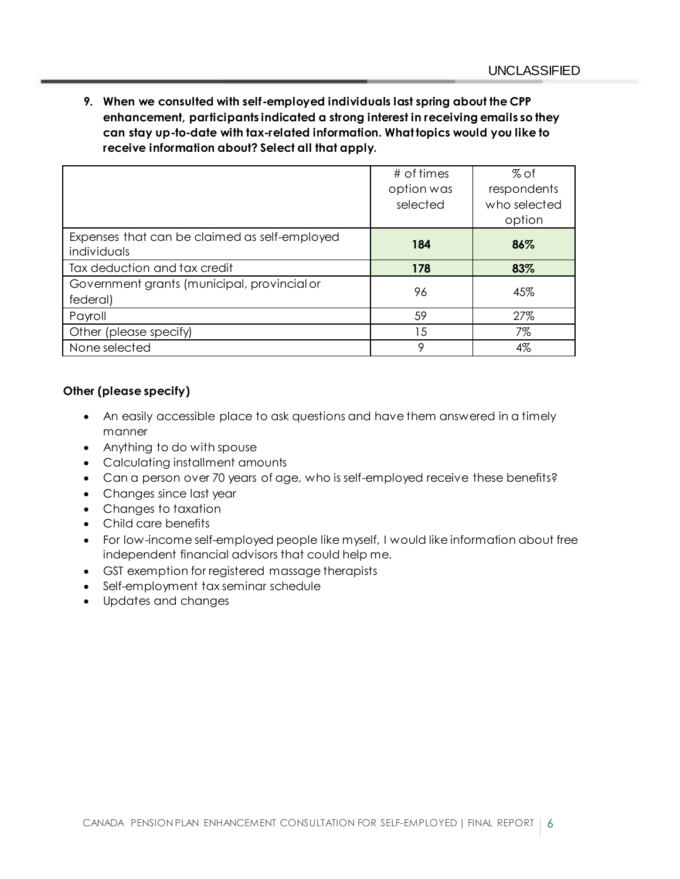**9. When we consulted with self-employed individuals last spring about the CPP enhancement, participants indicated a strong interest in receiving emails so they can stay up-to-date with tax-related information. What topics would you like to receive information about? Select all that apply.**

|                                                              | # of times | $%$ of       |
|--------------------------------------------------------------|------------|--------------|
|                                                              | option was | respondents  |
|                                                              | selected   | who selected |
|                                                              |            | option       |
| Expenses that can be claimed as self-employed<br>individuals | 184        | 86%          |
| Tax deduction and tax credit                                 | 178        | 83%          |
| Government grants (municipal, provincial or<br>federal)      | 96         | 45%          |
| Payroll                                                      | 59         | 27%          |
| Other (please specify)                                       | 15         | 7%           |
| None selected                                                | 9          | 4%           |

### **Other (please specify)**

- An easily accessible place to ask questions and have them answered in a timely manner
- Anything to do with spouse
- Calculating installment amounts
- Can a person over 70 years of age, who is self-employed receive these benefits?
- Changes since last year
- Changes to taxation
- Child care benefits
- For low-income self-employed people like myself, I would like information about free independent financial advisors that could help me.
- GST exemption for registered massage therapists
- Self-employment tax seminar schedule
- Updates and changes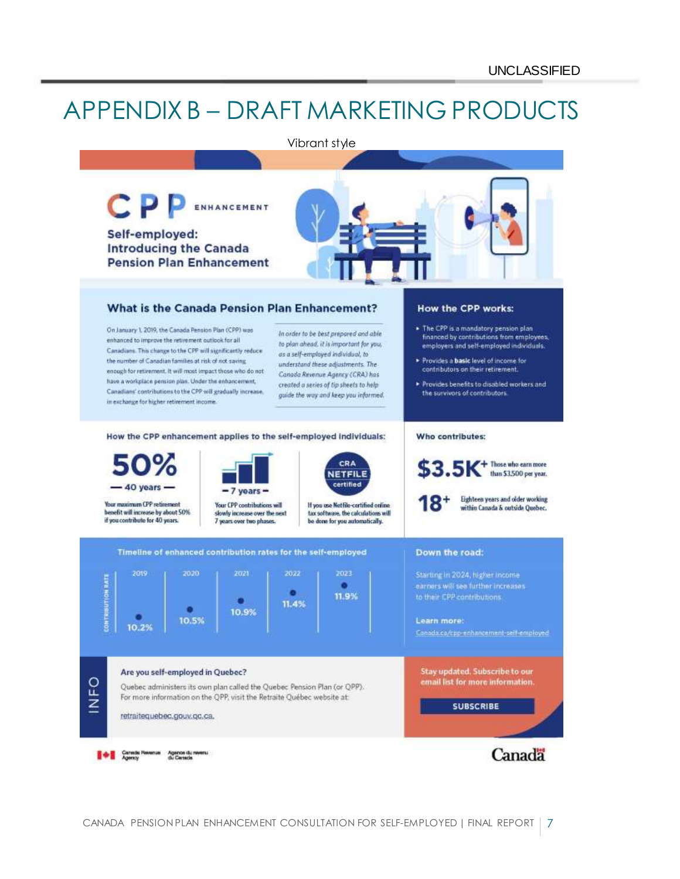## APPENDIX B – DRAFT MARKETING PRODUCTS

#### Vibrant style